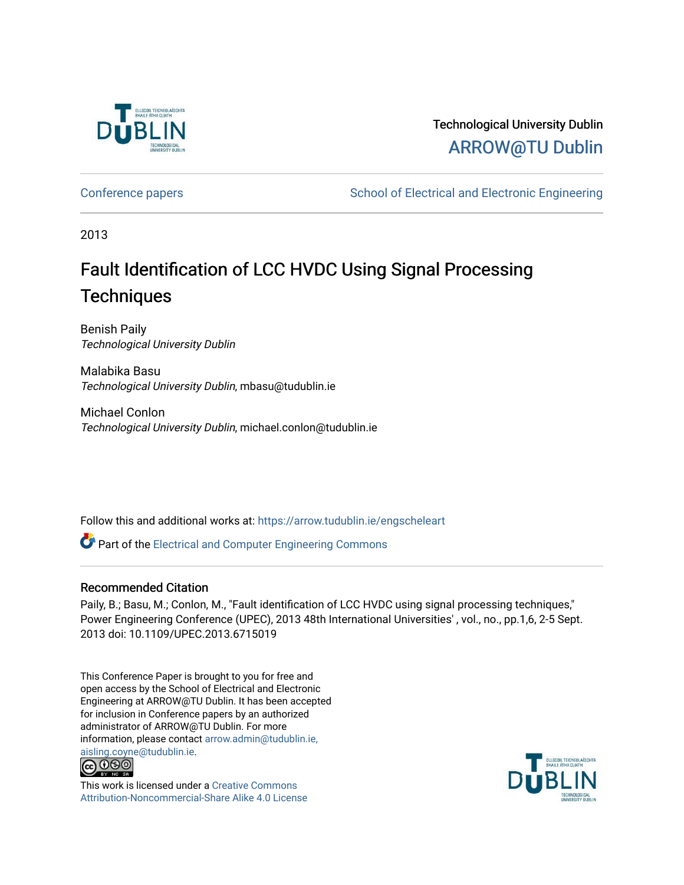

## Technological University Dublin [ARROW@TU Dublin](https://arrow.tudublin.ie/)

[Conference papers](https://arrow.tudublin.ie/engscheleart) **School of Electrical and Electronic Engineering** 

2013

## Fault Identification of LCC HVDC Using Signal Processing **Techniques**

Benish Paily Technological University Dublin

Malabika Basu Technological University Dublin, mbasu@tudublin.ie

Michael Conlon Technological University Dublin, michael.conlon@tudublin.ie

Follow this and additional works at: [https://arrow.tudublin.ie/engscheleart](https://arrow.tudublin.ie/engscheleart?utm_source=arrow.tudublin.ie%2Fengscheleart%2F215&utm_medium=PDF&utm_campaign=PDFCoverPages) 

Part of the [Electrical and Computer Engineering Commons](http://network.bepress.com/hgg/discipline/266?utm_source=arrow.tudublin.ie%2Fengscheleart%2F215&utm_medium=PDF&utm_campaign=PDFCoverPages) 

#### Recommended Citation

Paily, B.; Basu, M.; Conlon, M., "Fault identification of LCC HVDC using signal processing techniques," Power Engineering Conference (UPEC), 2013 48th International Universities' , vol., no., pp.1,6, 2-5 Sept. 2013 doi: 10.1109/UPEC.2013.6715019

This Conference Paper is brought to you for free and open access by the School of Electrical and Electronic Engineering at ARROW@TU Dublin. It has been accepted for inclusion in Conference papers by an authorized administrator of ARROW@TU Dublin. For more information, please contact [arrow.admin@tudublin.ie,](mailto:arrow.admin@tudublin.ie,%20aisling.coyne@tudublin.ie)  [aisling.coyne@tudublin.ie.](mailto:arrow.admin@tudublin.ie,%20aisling.coyne@tudublin.ie)<br>© 090



This work is licensed under a [Creative Commons](http://creativecommons.org/licenses/by-nc-sa/4.0/) [Attribution-Noncommercial-Share Alike 4.0 License](http://creativecommons.org/licenses/by-nc-sa/4.0/)

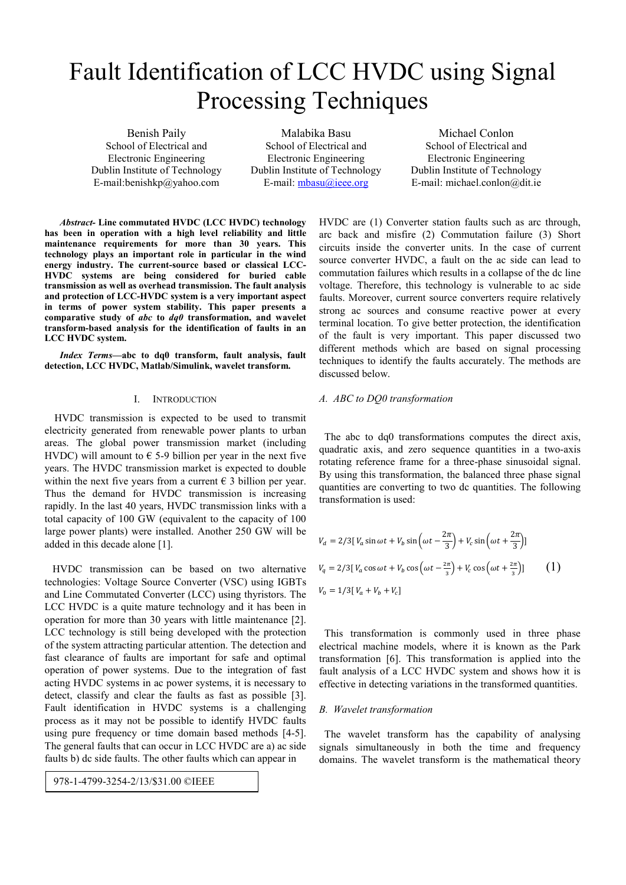# Fault Identification of LCC HVDC using Signal Processing Techniques

Benish Paily School of Electrical and Electronic Engineering Dublin Institute of Technology E-mail:benishkp@yahoo.com

Malabika Basu School of Electrical and Electronic Engineering Dublin Institute of Technology E-mail: mbasu@ieee.org

Michael Conlon School of Electrical and Electronic Engineering Dublin Institute of Technology E-mail: michael.conlon@dit.ie

*Abstract-* **Line commutated HVDC (LCC HVDC) technology has been in operation with a high level reliability and little maintenance requirements for more than 30 years. This technology plays an important role in particular in the wind energy industry. The current-source based or classical LCC-HVDC systems are being considered for buried cable transmission as well as overhead transmission. The fault analysis and protection of LCC-HVDC system is a very important aspect in terms of power system stability. This paper presents a comparative study of** *abc* **to** *dq0* **transformation, and wavelet transform-based analysis for the identification of faults in an LCC HVDC system.** 

*Index Terms***—abc to dq0 transform, fault analysis, fault detection, LCC HVDC, Matlab/Simulink, wavelet transform.** 

#### I. INTRODUCTION

HVDC transmission is expected to be used to transmit electricity generated from renewable power plants to urban areas. The global power transmission market (including HVDC) will amount to  $\epsilon$  5-9 billion per year in the next five years. The HVDC transmission market is expected to double within the next five years from a current  $\epsilon$  3 billion per year. Thus the demand for HVDC transmission is increasing rapidly. In the last 40 years, HVDC transmission links with a total capacity of 100 GW (equivalent to the capacity of 100 large power plants) were installed. Another 250 GW will be added in this decade alone [1].

 HVDC transmission can be based on two alternative technologies: Voltage Source Converter (VSC) using IGBTs and Line Commutated Converter (LCC) using thyristors. The LCC HVDC is a quite mature technology and it has been in operation for more than 30 years with little maintenance [2]. LCC technology is still being developed with the protection of the system attracting particular attention. The detection and fast clearance of faults are important for safe and optimal operation of power systems. Due to the integration of fast acting HVDC systems in ac power systems, it is necessary to detect, classify and clear the faults as fast as possible [3]. Fault identification in HVDC systems is a challenging process as it may not be possible to identify HVDC faults using pure frequency or time domain based methods [4-5]. The general faults that can occur in LCC HVDC are a) ac side faults b) dc side faults. The other faults which can appear in

978-1-4799-3254-2/13/\$31.00 ©IEEE

HVDC are (1) Converter station faults such as arc through, arc back and misfire (2) Commutation failure (3) Short circuits inside the converter units. In the case of current source converter HVDC, a fault on the ac side can lead to commutation failures which results in a collapse of the dc line voltage. Therefore, this technology is vulnerable to ac side faults. Moreover, current source converters require relatively strong ac sources and consume reactive power at every terminal location. To give better protection, the identification of the fault is very important. This paper discussed two different methods which are based on signal processing techniques to identify the faults accurately. The methods are discussed below.

#### *A. ABC to DQ0 transformation*

 The abc to dq0 transformations computes the direct axis, quadratic axis, and zero sequence quantities in a two-axis rotating reference frame for a three-phase sinusoidal signal. By using this transformation, the balanced three phase signal quantities are converting to two dc quantities. The following transformation is used:

$$
V_d = 2/3[V_a \sin \omega t + V_b \sin \left(\omega t - \frac{2\pi}{3}\right) + V_c \sin \left(\omega t + \frac{2\pi}{3}\right)]
$$
  
\n
$$
V_q = 2/3[V_a \cos \omega t + V_b \cos \left(\omega t - \frac{2\pi}{3}\right) + V_c \cos \left(\omega t + \frac{2\pi}{3}\right)]
$$
\n
$$
V_0 = 1/3[V_a + V_b + V_c]
$$
\n(1)

 This transformation is commonly used in three phase electrical machine models, where it is known as the Park transformation [6]. This transformation is applied into the fault analysis of a LCC HVDC system and shows how it is effective in detecting variations in the transformed quantities.

#### *B.**Wavelet transformation*

 The wavelet transform has the capability of analysing signals simultaneously in both the time and frequency domains. The wavelet transform is the mathematical theory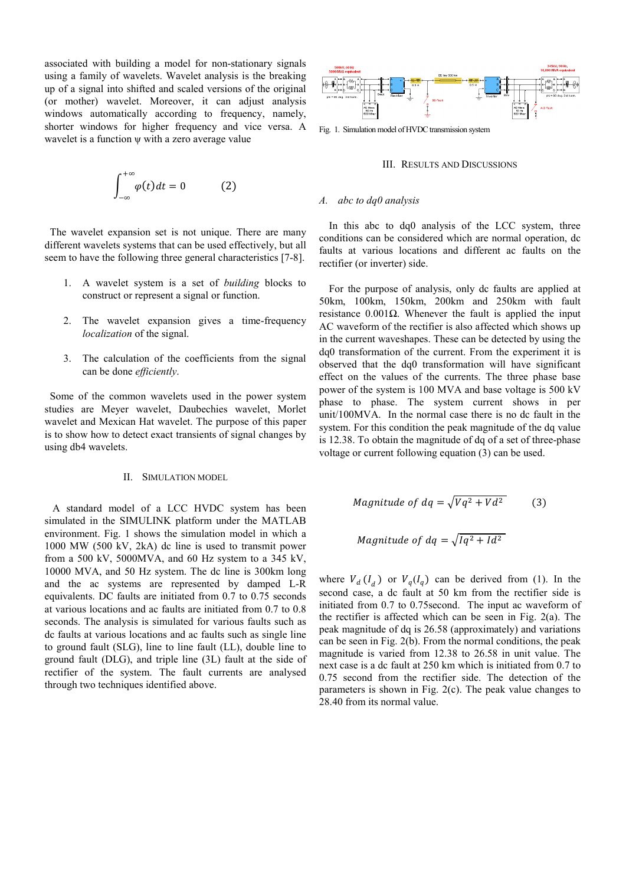associated with building a model for non-stationary signals using a family of wavelets. Wavelet analysis is the breaking up of a signal into shifted and scaled versions of the original (or mother) wavelet. Moreover, it can adjust analysis windows automatically according to frequency, namely, shorter windows for higher frequency and vice versa. A wavelet is a function  $\psi$  with a zero average value

$$
\int_{-\infty}^{+\infty} \varphi(t) dt = 0 \qquad (2)
$$

 The wavelet expansion set is not unique. There are many different wavelets systems that can be used effectively, but all seem to have the following three general characteristics [7-8].

- 1. A wavelet system is a set of *building* blocks to construct or represent a signal or function.
- The wavelet expansion gives a time-frequency *localization* of the signal.
- 3. The calculation of the coefficients from the signal can be done *efficiently*.

 Some of the common wavelets used in the power system studies are Meyer wavelet, Daubechies wavelet, Morlet wavelet and Mexican Hat wavelet. The purpose of this paper is to show how to detect exact transients of signal changes by using db4 wavelets.

#### II. SIMULATION MODEL

 A standard model of a LCC HVDC system has been simulated in the SIMULINK platform under the MATLAB environment. Fig. 1 shows the simulation model in which a 1000 MW (500 kV, 2kA) dc line is used to transmit power from a 500 kV, 5000MVA, and 60 Hz system to a 345 kV, 10000 MVA, and 50 Hz system. The dc line is 300km long and the ac systems are represented by damped L-R equivalents. DC faults are initiated from 0.7 to 0.75 seconds at various locations and ac faults are initiated from 0.7 to 0.8 seconds. The analysis is simulated for various faults such as dc faults at various locations and ac faults such as single line to ground fault (SLG), line to line fault (LL), double line to ground fault (DLG), and triple line (3L) fault at the side of rectifier of the system. The fault currents are analysed through two techniques identified above.



Fig. 1. Simulation model of HVDC transmission system

#### III. RESULTS AND DISCUSSIONS

#### *A. abc to dq0 analysis*

In this abc to dq0 analysis of the LCC system, three conditions can be considered which are normal operation, dc faults at various locations and different ac faults on the rectifier (or inverter) side.

For the purpose of analysis, only dc faults are applied at 50km, 100km, 150km, 200km and 250km with fault resistance  $0.001Ω$ . Whenever the fault is applied the input AC waveform of the rectifier is also affected which shows up in the current waveshapes. These can be detected by using the dq0 transformation of the current. From the experiment it is observed that the dq0 transformation will have significant effect on the values of the currents. The three phase base power of the system is 100 MVA and base voltage is 500 kV phase to phase. The system current shows in per unit/100MVA. In the normal case there is no dc fault in the system. For this condition the peak magnitude of the dq value is 12.38. To obtain the magnitude of dq of a set of three-phase voltage or current following equation (3) can be used.

$$
Magnitude of dq = \sqrt{Vq^2 + Vd^2} \tag{3}
$$

*Magnitude of dq* = 
$$
\sqrt{Iq^2 + Id^2}
$$

where  $V_d(I_a)$  or  $V_q(I_q)$  can be derived from (1). In the second case, a dc fault at 50 km from the rectifier side is initiated from 0.7 to 0.75second. The input ac waveform of the rectifier is affected which can be seen in Fig. 2(a). The peak magnitude of dq is 26.58 (approximately) and variations can be seen in Fig. 2(b). From the normal conditions, the peak magnitude is varied from 12.38 to 26.58 in unit value. The next case is a dc fault at 250 km which is initiated from 0.7 to 0.75 second from the rectifier side. The detection of the parameters is shown in Fig. 2(c). The peak value changes to 28.40 from its normal value.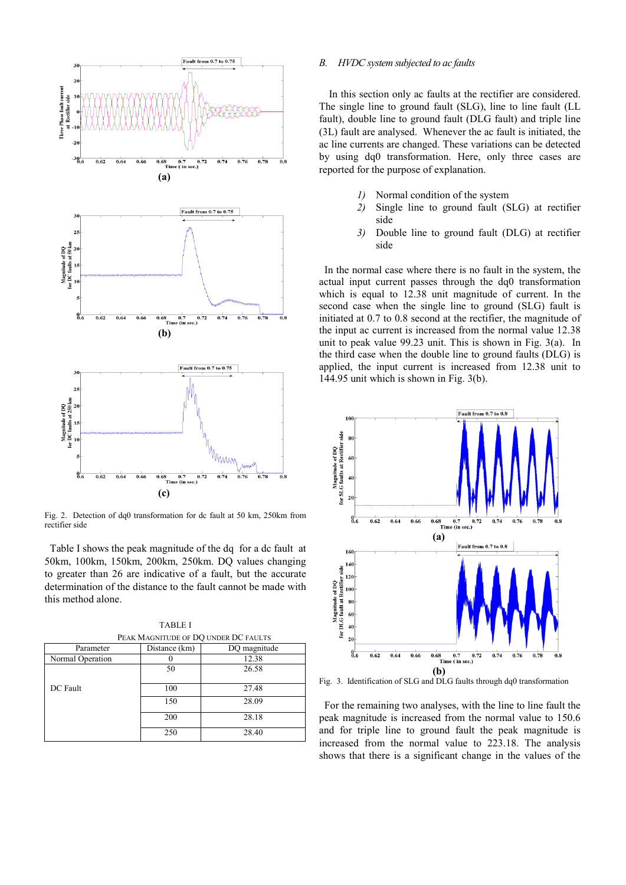

Fig. 2. Detection of dq0 transformation for dc fault at 50 km, 250km from rectifier side

 Table I shows the peak magnitude of the dq for a dc fault at 50km, 100km, 150km, 200km, 250km. DQ values changing to greater than 26 are indicative of a fault, but the accurate determination of the distance to the fault cannot be made with this method alone.

|                  | PEAK MAGNITUDE OF DO UNDER DC FAULTS |              |  |  |  |
|------------------|--------------------------------------|--------------|--|--|--|
| Parameter        | Distance (km)                        | DQ magnitude |  |  |  |
| Normal Operation |                                      | 12.38        |  |  |  |
|                  | 50                                   | 26.58        |  |  |  |
| DC Fault         | 100                                  | 27.48        |  |  |  |
|                  | 150                                  | 28.09        |  |  |  |
|                  | 200                                  | 28.18        |  |  |  |
|                  | 250                                  | 28.40        |  |  |  |

### TABLE I

#### *B. HVDC system subjected to ac faults*

In this section only ac faults at the rectifier are considered. The single line to ground fault (SLG), line to line fault (LL fault), double line to ground fault (DLG fault) and triple line (3L) fault are analysed. Whenever the ac fault is initiated, the ac line currents are changed. These variations can be detected by using dq0 transformation. Here, only three cases are reported for the purpose of explanation.

- *1)* Normal condition of the system
- *2)* Single line to ground fault (SLG) at rectifier side
- *3)* Double line to ground fault (DLG) at rectifier side

 In the normal case where there is no fault in the system, the actual input current passes through the dq0 transformation which is equal to 12.38 unit magnitude of current. In the second case when the single line to ground (SLG) fault is initiated at 0.7 to 0.8 second at the rectifier, the magnitude of the input ac current is increased from the normal value 12.38 unit to peak value 99.23 unit. This is shown in Fig. 3(a). In the third case when the double line to ground faults (DLG) is applied, the input current is increased from 12.38 unit to 144.95 unit which is shown in Fig. 3(b).



Fig. 3. Identification of SLG and DLG faults through dq0 transformation

 For the remaining two analyses, with the line to line fault the peak magnitude is increased from the normal value to 150.6 and for triple line to ground fault the peak magnitude is increased from the normal value to 223.18. The analysis shows that there is a significant change in the values of the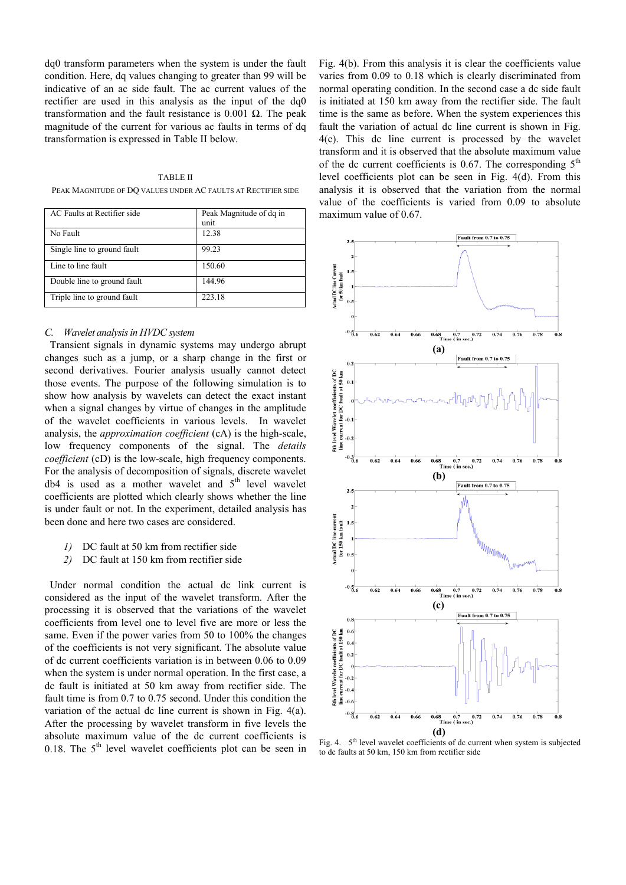dq0 transform parameters when the system is under the fault condition. Here, dq values changing to greater than 99 will be indicative of an ac side fault. The ac current values of the rectifier are used in this analysis as the input of the dq0 transformation and the fault resistance is 0.001 Ω. The peak magnitude of the current for various ac faults in terms of dq transformation is expressed in Table II below.

TABLE II PEAK MAGNITUDE OF DQ VALUES UNDER AC FAULTS AT RECTIFIER SIDE

| AC Faults at Rectifier side | Peak Magnitude of dq in |
|-----------------------------|-------------------------|
|                             | unit                    |
| No Fault                    | 12.38                   |
| Single line to ground fault | 99.23                   |
| Line to line fault          | 150.60                  |
| Double line to ground fault | 144.96                  |
| Triple line to ground fault | 223.18                  |

#### *C. Wavelet analysis in HVDC system*

 Transient signals in dynamic systems may undergo abrupt changes such as a jump, or a sharp change in the first or second derivatives. Fourier analysis usually cannot detect those events. The purpose of the following simulation is to show how analysis by wavelets can detect the exact instant when a signal changes by virtue of changes in the amplitude of the wavelet coefficients in various levels. In wavelet analysis, the *approximation coefficient* (cA) is the high-scale, low frequency components of the signal. The *details coefficient* (cD) is the low-scale, high frequency components. For the analysis of decomposition of signals, discrete wavelet db4 is used as a mother wavelet and  $5<sup>th</sup>$  level wavelet coefficients are plotted which clearly shows whether the line is under fault or not. In the experiment, detailed analysis has been done and here two cases are considered.

- *1)* DC fault at 50 km from rectifier side
- *2)* DC fault at 150 km from rectifier side

 Under normal condition the actual dc link current is considered as the input of the wavelet transform. After the processing it is observed that the variations of the wavelet coefficients from level one to level five are more or less the same. Even if the power varies from 50 to 100% the changes of the coefficients is not very significant. The absolute value of dc current coefficients variation is in between 0.06 to 0.09 when the system is under normal operation. In the first case, a dc fault is initiated at 50 km away from rectifier side. The fault time is from 0.7 to 0.75 second. Under this condition the variation of the actual dc line current is shown in Fig. 4(a). After the processing by wavelet transform in five levels the absolute maximum value of the dc current coefficients is 0.18. The  $5<sup>th</sup>$  level wavelet coefficients plot can be seen in Fig. 4(b). From this analysis it is clear the coefficients value varies from 0.09 to 0.18 which is clearly discriminated from normal operating condition. In the second case a dc side fault is initiated at 150 km away from the rectifier side. The fault time is the same as before. When the system experiences this fault the variation of actual dc line current is shown in Fig. 4(c). This dc line current is processed by the wavelet transform and it is observed that the absolute maximum value of the dc current coefficients is 0.67. The corresponding  $5<sup>th</sup>$ level coefficients plot can be seen in Fig. 4(d). From this analysis it is observed that the variation from the normal value of the coefficients is varied from 0.09 to absolute maximum value of 0.67.



Fig. 4. 5<sup>th</sup> level wavelet coefficients of dc current when system is subjected to dc faults at 50 km, 150 km from rectifier side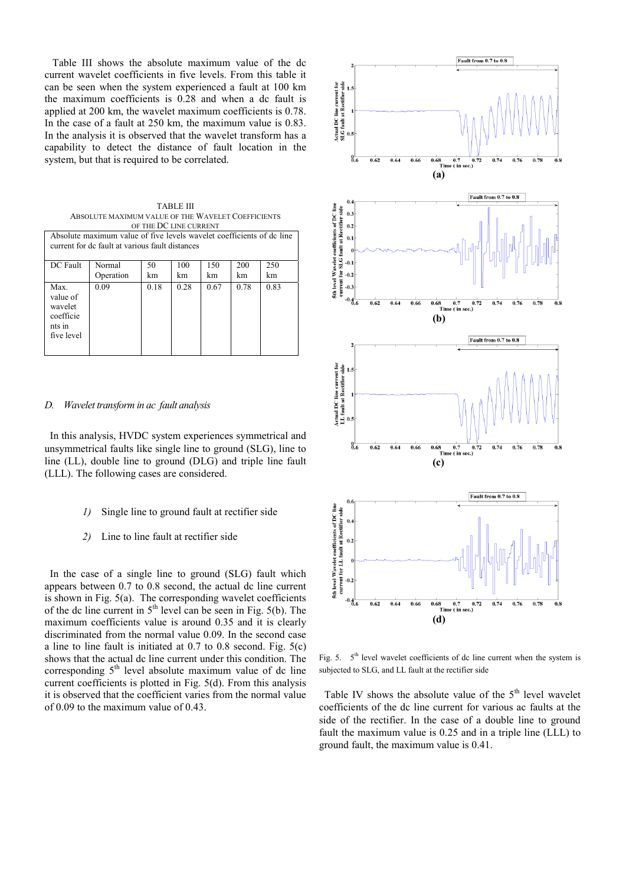Table III shows the absolute maximum value of the dc current wavelet coefficients in five levels. From this table it can be seen when the system experienced a fault at 100 km the maximum coefficients is 0.28 and when a dc fault is applied at 200 km, the wavelet maximum coefficients is 0.78. In the case of a fault at 250 km, the maximum value is 0.83. In the analysis it is observed that the wavelet transform has a capability to detect the distance of fault location in the system, but that is required to be correlated.

TABLE III ABSOLUTE MAXIMUM VALUE OF THE WAVELET COEFFICIENTS OF THE DC LINE CURRENT

| Absolute maximum value of five levels wavelet coefficients of dc line<br>current for de fault at various fault distances |           |      |      |      |      |      |
|--------------------------------------------------------------------------------------------------------------------------|-----------|------|------|------|------|------|
| DC Fault                                                                                                                 | Normal    | 50   | 100  | 150  | 200  | 250  |
|                                                                                                                          | Operation | km   | km   | km   | km   | km   |
| Max.<br>value of<br>wavelet<br>coefficie<br>nts in<br>five level                                                         | 0.09      | 0.18 | 0.28 | 0.67 | 0.78 | 0.83 |

#### *D. Wavelet transform in ac fault analysis*

 In this analysis, HVDC system experiences symmetrical and unsymmetrical faults like single line to ground (SLG), line to line (LL), double line to ground (DLG) and triple line fault (LLL). The following cases are considered.

- *1)* Single line to ground fault at rectifier side
- *2)* Line to line fault at rectifier side

 In the case of a single line to ground (SLG) fault which appears between 0.7 to 0.8 second, the actual dc line current is shown in Fig. 5(a). The corresponding wavelet coefficients of the dc line current in  $5<sup>th</sup>$  level can be seen in Fig. 5(b). The maximum coefficients value is around 0.35 and it is clearly discriminated from the normal value 0.09. In the second case a line to line fault is initiated at 0.7 to 0.8 second. Fig. 5(c) shows that the actual dc line current under this condition. The corresponding  $5<sup>th</sup>$  level absolute maximum value of dc line current coefficients is plotted in Fig. 5(d). From this analysis it is observed that the coefficient varies from the normal value of 0.09 to the maximum value of 0.43.



Fig. 5.  $5<sup>th</sup>$  level wavelet coefficients of dc line current when the system is subjected to SLG, and LL fault at the rectifier side

Table IV shows the absolute value of the  $5<sup>th</sup>$  level wavelet coefficients of the dc line current for various ac faults at the side of the rectifier. In the case of a double line to ground fault the maximum value is 0.25 and in a triple line (LLL) to ground fault, the maximum value is 0.41.